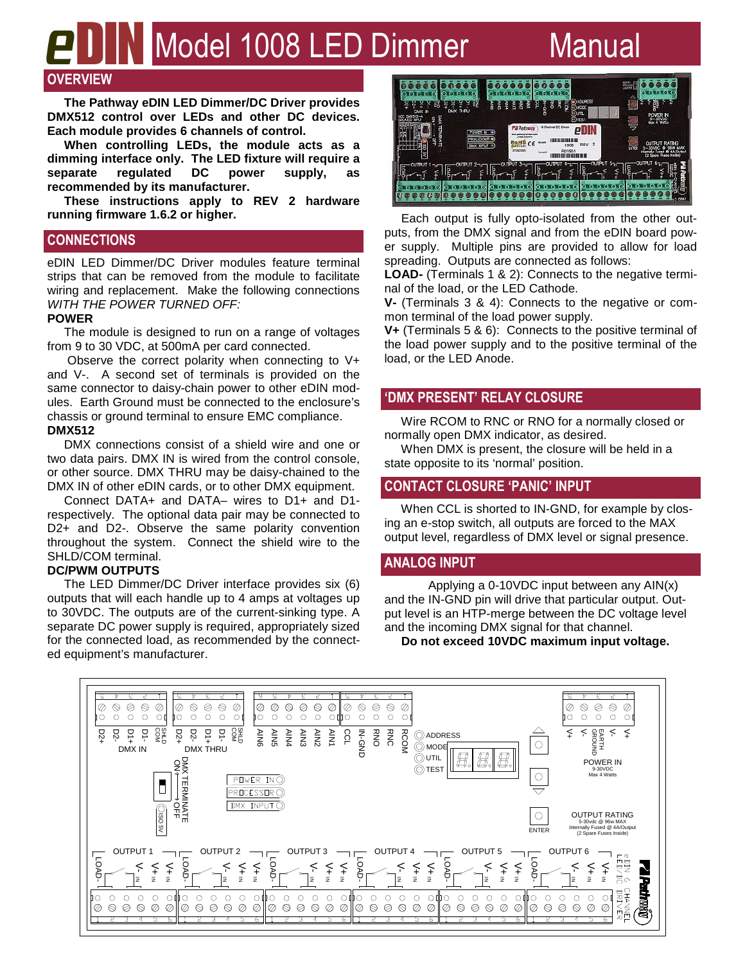# **Nodel 1008 LED Dimmer** Manual

# **OVERVIEW**

 **The Pathway eDIN LED Dimmer/DC Driver provides DMX512 control over LEDs and other DC devices. Each module provides 6 channels of control.** 

 **When controlling LEDs, the module acts as a dimming interface only. The LED fixture will require a**  separate regulated DC power supply, **recommended by its manufacturer.** 

 **These instructions apply to REV 2 hardware running firmware 1.6.2 or higher.** 

# **CONNECTIONS**

eDIN LED Dimmer/DC Driver modules feature terminal strips that can be removed from the module to facilitate wiring and replacement. Make the following connections WITH THE POWER TURNED OFF:

# **POWER**

 The module is designed to run on a range of voltages from 9 to 30 VDC, at 500mA per card connected.

 Observe the correct polarity when connecting to V+ and V-. A second set of terminals is provided on the same connector to daisy-chain power to other eDIN modules. Earth Ground must be connected to the enclosure's chassis or ground terminal to ensure EMC compliance. **DMX512** 

 DMX connections consist of a shield wire and one or two data pairs. DMX IN is wired from the control console, or other source. DMX THRU may be daisy-chained to the DMX IN of other eDIN cards, or to other DMX equipment.

 Connect DATA+ and DATA– wires to D1+ and D1 respectively. The optional data pair may be connected to D2+ and D2-. Observe the same polarity convention throughout the system. Connect the shield wire to the SHLD/COM terminal.

# **DC/PWM OUTPUTS**

 The LED Dimmer/DC Driver interface provides six (6) outputs that will each handle up to 4 amps at voltages up to 30VDC. The outputs are of the current-sinking type. A separate DC power supply is required, appropriately sized for the connected load, as recommended by the connected equipment's manufacturer.

| ADURESS<br>Ч<br>P.<br>얆<br>岗<br>얣<br>N<br>Ź<br>e<br>m<br>F<br>2<br>m<br>¤<br>ğ<br>ř<br>풂<br><b>ICDE</b><br>n<br>THRU<br><b>DMX</b>                                                                                                                                                              | <b>SACT</b><br>∞<br>Ê<br>м                                                                  |
|-------------------------------------------------------------------------------------------------------------------------------------------------------------------------------------------------------------------------------------------------------------------------------------------------|---------------------------------------------------------------------------------------------|
| ĸ<br><b>OUTL</b><br>$TM(5)2 - A$<br>e.<br><b>Exit</b><br>9<br>⊙πst<br>۰<br>6 Chernel DC Driver<br>į<br><b>PA Pathway</b><br>POWER N<br>188444479<br>ANAIE<br>S<br><b>PROGESSOR</b><br>,,,,,,,,,,,,,,,,<br><b>BRADLER</b><br><b>RoHS</b><br>$\overline{2}$<br><b>REV</b><br>1008<br>DAOI NPUT 19 | POWER N<br>Max 4 Watts<br><b>RATNG</b><br><b><i><b>OUTPUT</b></i></b><br><b>MAX</b>         |
| c<br>07062009<br><b>R01961</b><br>Sehal #<br>5<br>63 B II                                                                                                                                                                                                                                       | <b>LIVTER</b><br>4A/Dzbz<br>Fused O<br><b>Internaty</b><br>(2 Spore Fuses Inside)<br>o<br>в |
|                                                                                                                                                                                                                                                                                                 | 0847                                                                                        |

 Each output is fully opto-isolated from the other outputs, from the DMX signal and from the eDIN board power supply. Multiple pins are provided to allow for load spreading. Outputs are connected as follows:

**LOAD-** (Terminals 1 & 2): Connects to the negative terminal of the load, or the LED Cathode.

**V-** (Terminals 3 & 4): Connects to the negative or common terminal of the load power supply.

**V+** (Terminals 5 & 6): Connects to the positive terminal of the load power supply and to the positive terminal of the load, or the LED Anode.

# **'DMX PRESENT' RELAY CLOSURE**

 Wire RCOM to RNC or RNO for a normally closed or normally open DMX indicator, as desired.

 When DMX is present, the closure will be held in a state opposite to its 'normal' position.

# **CONTACT CLOSURE 'PANIC' INPUT**

 When CCL is shorted to IN-GND, for example by closing an e-stop switch, all outputs are forced to the MAX output level, regardless of DMX level or signal presence.

# **ANALOG INPUT**

 Applying a 0-10VDC input between any AIN(x) and the IN-GND pin will drive that particular output. Output level is an HTP-merge between the DC voltage level and the incoming DMX signal for that channel.

**Do not exceed 10VDC maximum input voltage.**